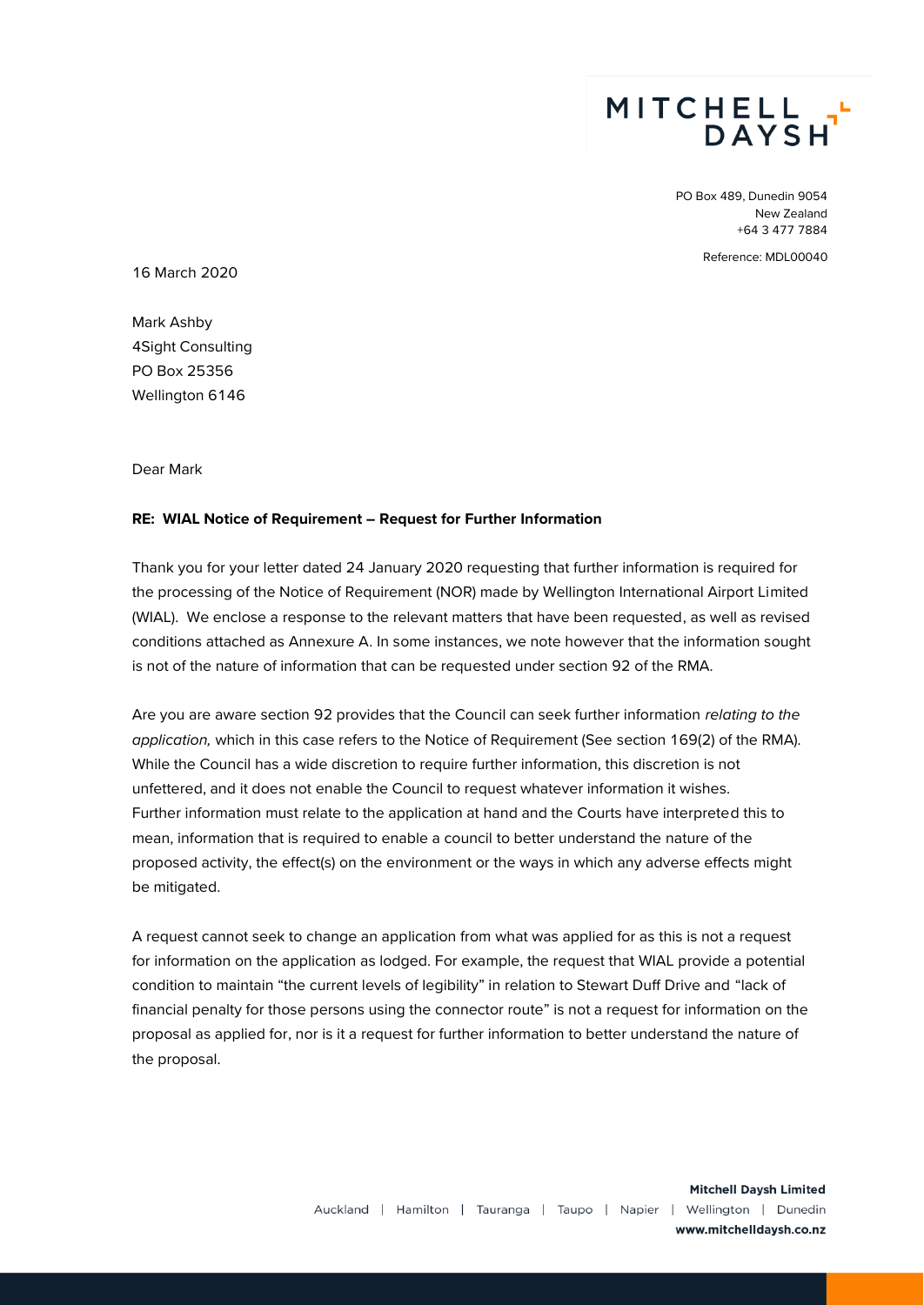

PO Box 489, Dunedin 9054 New Zealand +64 3 477 7884

Reference: MDL00040

16 March 2020

Mark Ashby 4Sight Consulting PO Box 25356 Wellington 6146

Dear Mark

## **RE: WIAL Notice of Requirement – Request for Further Information**

Thank you for your letter dated 24 January 2020 requesting that further information is required for the processing of the Notice of Requirement (NOR) made by Wellington International Airport Limited (WIAL). We enclose a response to the relevant matters that have been requested, as well as revised conditions attached as Annexure A. In some instances, we note however that the information sought is not of the nature of information that can be requested under section 92 of the RMA.

Are you are aware section 92 provides that the Council can seek further information *relating to the application,* which in this case refers to the Notice of Requirement (See section 169(2) of the RMA)*.* While the Council has a wide discretion to require further information, this discretion is not unfettered, and it does not enable the Council to request whatever information it wishes. Further information must relate to the application at hand and the Courts have interpreted this to mean, information that is required to enable a council to better understand the nature of the proposed activity, the effect(s) on the environment or the ways in which any adverse effects might be mitigated.

A request cannot seek to change an application from what was applied for as this is not a request for information on the application as lodged. For example, the request that WIAL provide a potential condition to maintain "the current levels of legibility" in relation to Stewart Duff Drive and "lack of financial penalty for those persons using the connector route" is not a request for information on the proposal as applied for, nor is it a request for further information to better understand the nature of the proposal.